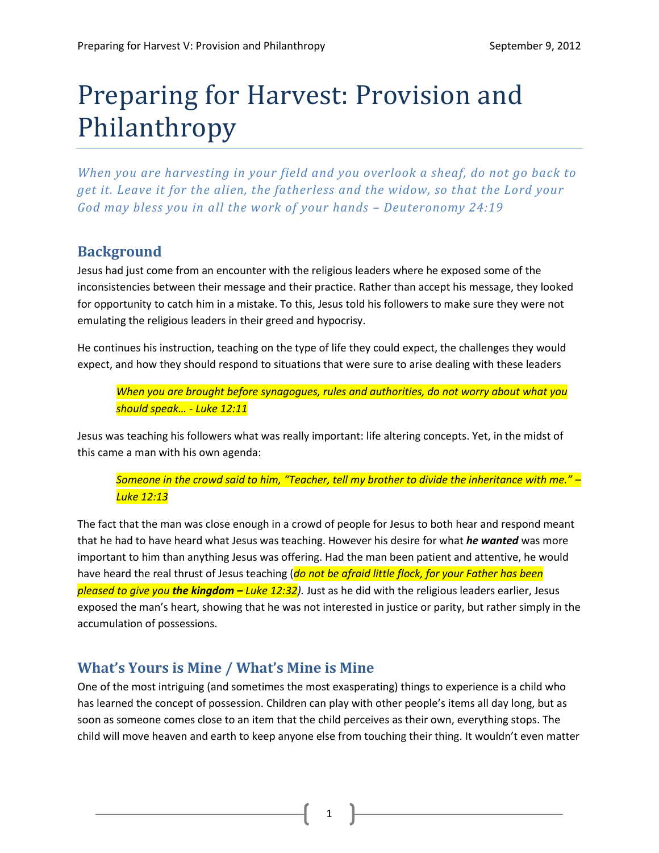# Preparing for Harvest: Provision and Philanthropy

*When you are harvesting in your field and you overlook a sheaf, do not go back to get it. Leave it for the alien, the fatherless and the widow, so that the Lord your*  God may bless you in all the work of your hands - Deuteronomy 24:19

# **Background**

Jesus had just come from an encounter with the religious leaders where he exposed some of the inconsistencies between their message and their practice. Rather than accept his message, they looked for opportunity to catch him in a mistake. To this, Jesus told his followers to make sure they were not emulating the religious leaders in their greed and hypocrisy.

He continues his instruction, teaching on the type of life they could expect, the challenges they would expect, and how they should respond to situations that were sure to arise dealing with these leaders

*When you are brought before synagogues, rules and authorities, do not worry about what you should speak… - Luke 12:11*

Jesus was teaching his followers what was really important: life altering concepts. Yet, in the midst of this came a man with his own agenda:

*Someone in the crowd said to him, "Teacher, tell my brother to divide the inheritance with me." – Luke 12:13*

The fact that the man was close enough in a crowd of people for Jesus to both hear and respond meant that he had to have heard what Jesus was teaching. However his desire for what *he wanted* was more important to him than anything Jesus was offering. Had the man been patient and attentive, he would have heard the real thrust of Jesus teaching (*do not be afraid little flock, for your Father has been pleased to give you the kingdom – Luke 12:32).* Just as he did with the religious leaders earlier, Jesus exposed the man's heart, showing that he was not interested in justice or parity, but rather simply in the accumulation of possessions.

# **What's Yours is Mine / What's Mine is Mine**

One of the most intriguing (and sometimes the most exasperating) things to experience is a child who has learned the concept of possession. Children can play with other people's items all day long, but as soon as someone comes close to an item that the child perceives as their own, everything stops. The child will move heaven and earth to keep anyone else from touching their thing. It wouldn't even matter

1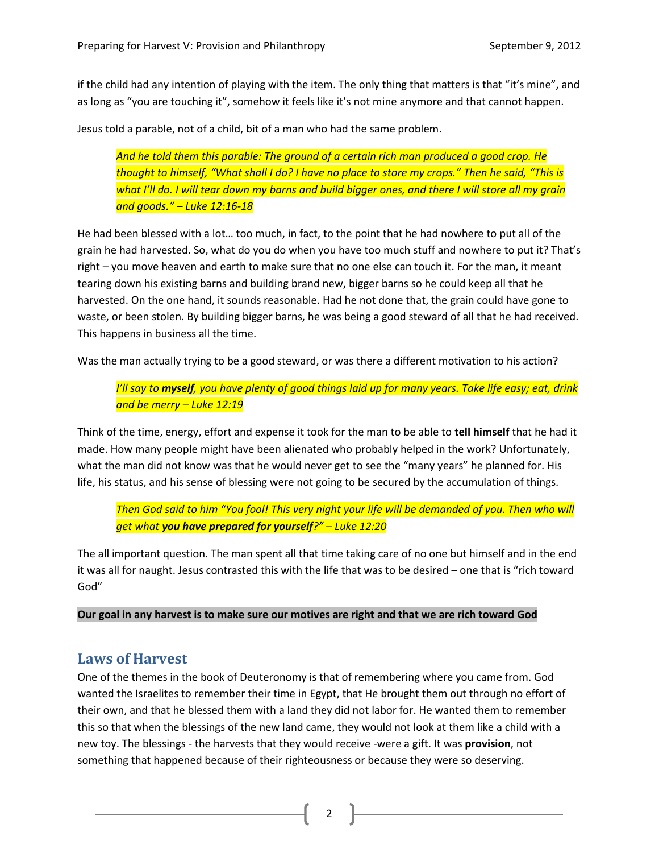if the child had any intention of playing with the item. The only thing that matters is that "it's mine", and as long as "you are touching it", somehow it feels like it's not mine anymore and that cannot happen.

Jesus told a parable, not of a child, bit of a man who had the same problem.

*And he told them this parable: The ground of a certain rich man produced a good crop. He thought to himself, "What shall I do? I have no place to store my crops." Then he said, "This is what I'll do. I will tear down my barns and build bigger ones, and there I will store all my grain and goods." – Luke 12:16-18*

He had been blessed with a lot… too much, in fact, to the point that he had nowhere to put all of the grain he had harvested. So, what do you do when you have too much stuff and nowhere to put it? That's right – you move heaven and earth to make sure that no one else can touch it. For the man, it meant tearing down his existing barns and building brand new, bigger barns so he could keep all that he harvested. On the one hand, it sounds reasonable. Had he not done that, the grain could have gone to waste, or been stolen. By building bigger barns, he was being a good steward of all that he had received. This happens in business all the time.

Was the man actually trying to be a good steward, or was there a different motivation to his action?

*I'll say to myself, you have plenty of good things laid up for many years. Take life easy; eat, drink and be merry – Luke 12:19*

Think of the time, energy, effort and expense it took for the man to be able to **tell himself** that he had it made. How many people might have been alienated who probably helped in the work? Unfortunately, what the man did not know was that he would never get to see the "many years" he planned for. His life, his status, and his sense of blessing were not going to be secured by the accumulation of things.

*Then God said to him "You fool! This very night your life will be demanded of you. Then who will get what you have prepared for yourself?" – Luke 12:20*

The all important question. The man spent all that time taking care of no one but himself and in the end it was all for naught. Jesus contrasted this with the life that was to be desired – one that is "rich toward God"

**Our goal in any harvest is to make sure our motives are right and that we are rich toward God**

### **Laws of Harvest**

One of the themes in the book of Deuteronomy is that of remembering where you came from. God wanted the Israelites to remember their time in Egypt, that He brought them out through no effort of their own, and that he blessed them with a land they did not labor for. He wanted them to remember this so that when the blessings of the new land came, they would not look at them like a child with a new toy. The blessings - the harvests that they would receive -were a gift. It was **provision**, not something that happened because of their righteousness or because they were so deserving.

2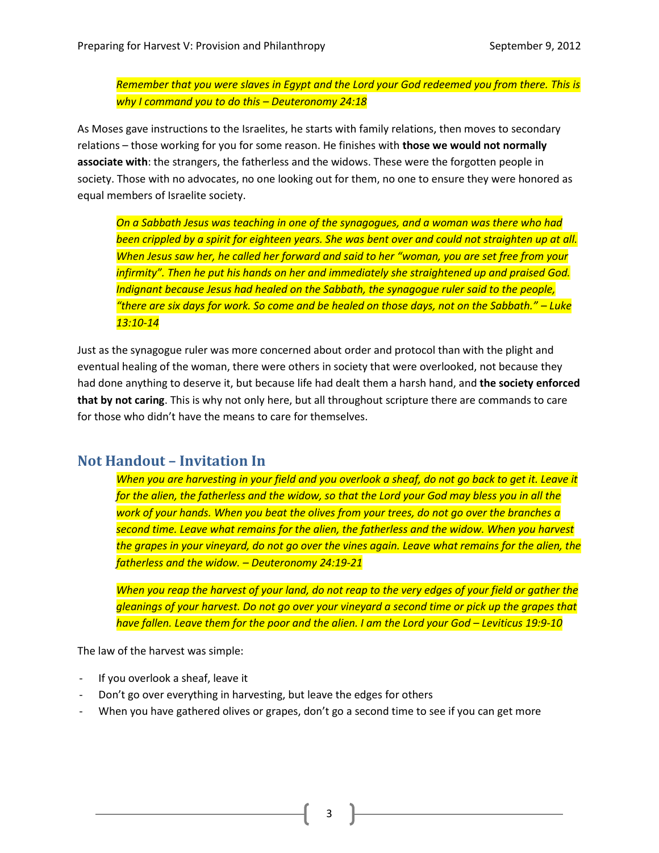*Remember that you were slaves in Egypt and the Lord your God redeemed you from there. This is why I command you to do this – Deuteronomy 24:18*

As Moses gave instructions to the Israelites, he starts with family relations, then moves to secondary relations – those working for you for some reason. He finishes with **those we would not normally associate with**: the strangers, the fatherless and the widows. These were the forgotten people in society. Those with no advocates, no one looking out for them, no one to ensure they were honored as equal members of Israelite society.

*On a Sabbath Jesus was teaching in one of the synagogues, and a woman was there who had been crippled by a spirit for eighteen years. She was bent over and could not straighten up at all. When Jesus saw her, he called her forward and said to her "woman, you are set free from your infirmity". Then he put his hands on her and immediately she straightened up and praised God. Indignant because Jesus had healed on the Sabbath, the synagogue ruler said to the people, "there are six days for work. So come and be healed on those days, not on the Sabbath." – Luke 13:10-14*

Just as the synagogue ruler was more concerned about order and protocol than with the plight and eventual healing of the woman, there were others in society that were overlooked, not because they had done anything to deserve it, but because life had dealt them a harsh hand, and **the society enforced that by not caring**. This is why not only here, but all throughout scripture there are commands to care for those who didn't have the means to care for themselves.

### **Not Handout – Invitation In**

*When you are harvesting in your field and you overlook a sheaf, do not go back to get it. Leave it for the alien, the fatherless and the widow, so that the Lord your God may bless you in all the work of your hands. When you beat the olives from your trees, do not go over the branches a second time. Leave what remains for the alien, the fatherless and the widow. When you harvest the grapes in your vineyard, do not go over the vines again. Leave what remains for the alien, the fatherless and the widow. – Deuteronomy 24:19-21*

*When you reap the harvest of your land, do not reap to the very edges of your field or gather the gleanings of your harvest. Do not go over your vineyard a second time or pick up the grapes that have fallen. Leave them for the poor and the alien. I am the Lord your God – Leviticus 19:9-10* 

The law of the harvest was simple:

- If you overlook a sheaf, leave it
- Don't go over everything in harvesting, but leave the edges for others
- When you have gathered olives or grapes, don't go a second time to see if you can get more

3